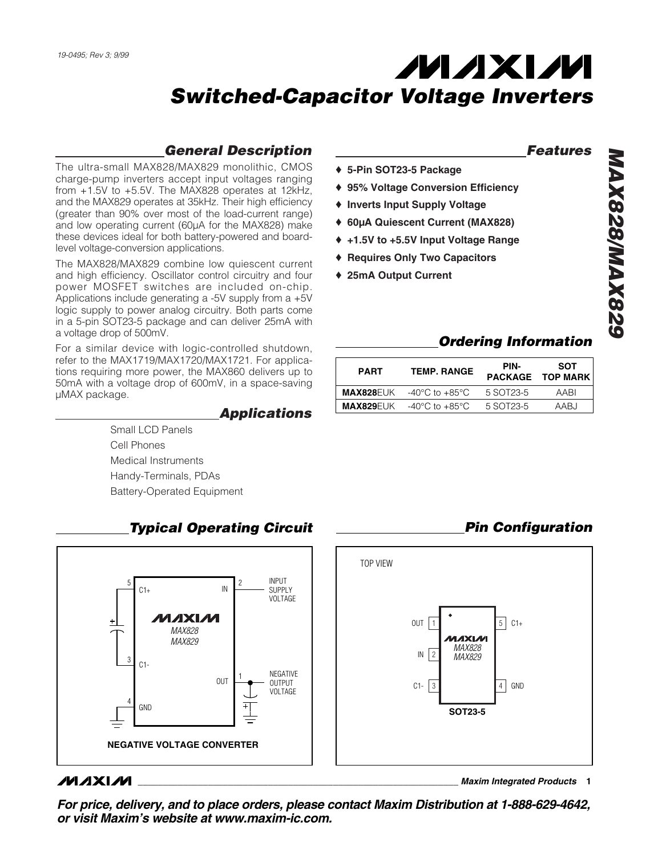♦ **5-Pin SOT23-5 Package** 

♦ **25mA Output Current**

♦ **Inverts Input Supply Voltage**

♦ **95% Voltage Conversion Efficiency**

♦ **60µA Quiescent Current (MAX828)** ♦ **+1.5V to +5.5V Input Voltage Range**  ♦ **Requires Only Two Capacitors**

# *General Description*

The ultra-small MAX828/MAX829 monolithic, CMOS charge-pump inverters accept input voltages ranging from +1.5V to +5.5V. The MAX828 operates at 12kHz, and the MAX829 operates at 35kHz. Their high efficiency (greater than 90% over most of the load-current range) and low operating current (60µA for the MAX828) make these devices ideal for both battery-powered and boardlevel voltage-conversion applications.

The MAX828/MAX829 combine low quiescent current and high efficiency. Oscillator control circuitry and four power MOSFET switches are included on-chip. Applications include generating a -5V supply from a +5V logic supply to power analog circuitry. Both parts come in a 5-pin SOT23-5 package and can deliver 25mA with a voltage drop of 500mV.

For a similar device with logic-controlled shutdown, refer to the MAX1719/MAX1720/MAX1721. For applications requiring more power, the MAX860 delivers up to 50mA with a voltage drop of 600mV, in a space-saving µMAX package.

# *Applications*

Small LCD Panels Cell Phones Medical Instruments Handy-Terminals, PDAs Battery-Operated Equipment



# **MAXIM**

**\_\_\_\_\_\_\_\_\_\_\_\_\_\_\_\_\_\_\_\_\_\_\_\_\_\_\_\_\_\_\_\_\_\_\_\_\_\_\_\_\_\_\_\_\_\_\_\_\_\_\_\_\_\_\_\_\_\_\_\_\_\_\_\_** *Maxim Integrated Products* **1**

*Features MAX828/MAX829*

# *Ordering Information*

*Pin Configuration*

| <b>PART</b> | <b>TEMP. RANGE</b>                                   | PIN-      | SOT<br><b>PACKAGE TOP MARK</b> |
|-------------|------------------------------------------------------|-----------|--------------------------------|
|             | <b>MAX828</b> EUK $-40^{\circ}$ C to $+85^{\circ}$ C | 5 SOT23-5 | AARI                           |
|             | <b>MAX829</b> EUK $-40^{\circ}$ C to $+85^{\circ}$ C | 5 SOT23-5 | AARJ                           |

## *For price, delivery, and to place orders, please contact Maxim Distribution at 1-888-629-4642, or visit Maxim's website at www.maxim-ic.com.*

# *Typical Operating Circuit*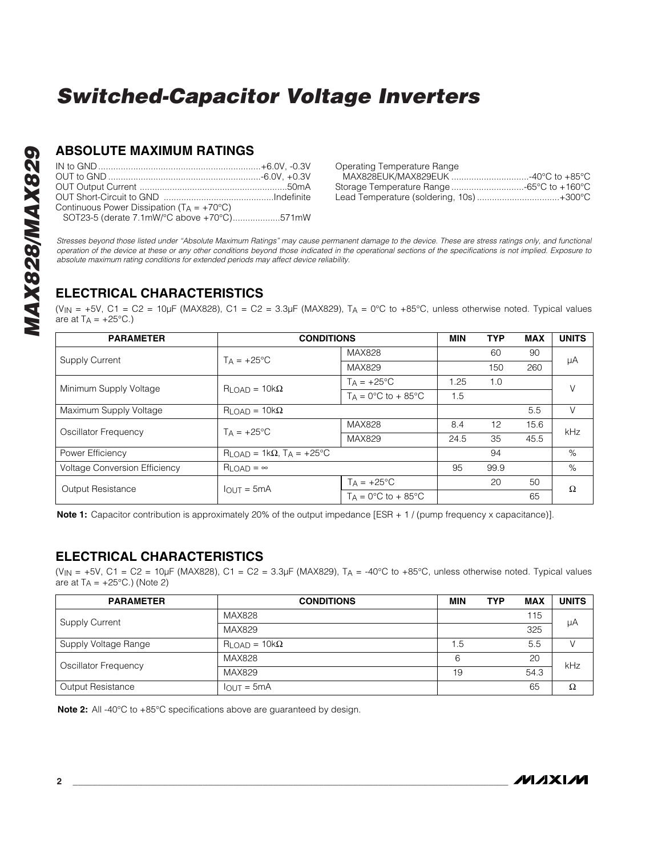## **ABSOLUTE MAXIMUM RATINGS**

| Continuous Power Dissipation $(T_A = +70^{\circ}C)$ |  |
|-----------------------------------------------------|--|
| SOT23-5 (derate 7.1mW/°C above +70°C)571mW          |  |

| Operating Temperature Range               |  |
|-------------------------------------------|--|
| MAX828EUK/MAX829EUK 40°C to +85°C         |  |
| Storage Temperature Range -65°C to +160°C |  |
| Lead Temperature (soldering, 10s)+300°C   |  |

*Stresses beyond those listed under "Absolute Maximum Ratings" may cause permanent damage to the device. These are stress ratings only, and functional operation of the device at these or any other conditions beyond those indicated in the operational sections of the specifications is not implied. Exposure to absolute maximum rating conditions for extended periods may affect device reliability.*

# **ELECTRICAL CHARACTERISTICS**

(V<sub>IN</sub> = +5V, C1 = C2 = 10µF (MAX828), C1 = C2 = 3.3µF (MAX829), TA = 0°C to +85°C, unless otherwise noted. Typical values are at  $T_A = +25^{\circ}C$ .)

| <b>PARAMETER</b>                     | <b>CONDITIONS</b>                        |                                       | <b>MIN</b> | <b>TYP</b> | <b>MAX</b> | <b>UNITS</b> |
|--------------------------------------|------------------------------------------|---------------------------------------|------------|------------|------------|--------------|
| <b>Supply Current</b>                | $TA = +25^{\circ}C$                      | MAX828                                |            | 60         | 90         | μA           |
|                                      |                                          | MAX829                                |            | 150        | 260        |              |
| Minimum Supply Voltage               | $R_{LOAD} = 10k\Omega$                   | $TA = +25^{\circ}C$                   | .25        | 1.0        |            | V            |
|                                      |                                          | $T_A = 0$ °C to + 85°C                | 1.5        |            |            |              |
| Maximum Supply Voltage               | $R$ LOAD = 10 $k\Omega$                  |                                       |            |            | 5.5        | $\vee$       |
| Oscillator Frequency                 | $Ta = +25^{\circ}C$                      | MAX828                                | 8.4        | 12         | 15.6       | kHz          |
|                                      |                                          | <b>MAX829</b>                         | 24.5       | 35         | 45.5       |              |
| Power Efficiency                     | $RLOAD = 1k\Omega$ , $TA = +25^{\circ}C$ |                                       |            | 94         |            | %            |
| <b>Voltage Conversion Efficiency</b> | $R$ LOAD = $\infty$                      |                                       | 95         | 99.9       |            | %            |
| Output Resistance                    | $I_{\Omega IJK} = 5mA$                   | $T_A = +25$ °C                        |            | 20         | 50         | Ω            |
|                                      |                                          | $TA = 0^{\circ}C$ to + 85 $^{\circ}C$ |            |            | 65         |              |

**Note 1:** Capacitor contribution is approximately 20% of the output impedance [ESR + 1 / (pump frequency x capacitance)].

## **ELECTRICAL CHARACTERISTICS**

(VIN = +5V, C1 = C2 = 10µF (MAX828), C1 = C2 = 3.3µF (MAX829), T<sub>A</sub> = -40°C to +85°C, unless otherwise noted. Typical values are at  $T_A = +25^{\circ}$ C.) (Note 2)

| <b>PARAMETER</b>      | <b>CONDITIONS</b>             | <b>MIN</b> | <b>TYP</b> | <b>MAX</b> | <b>UNITS</b> |  |
|-----------------------|-------------------------------|------------|------------|------------|--------------|--|
|                       | <b>MAX828</b>                 |            |            | 115        | μA           |  |
| <b>Supply Current</b> | MAX829                        |            |            | 325        |              |  |
| Supply Voltage Range  | $R_{\text{LOAD}} = 10k\Omega$ | 1.5        |            | 5.5        |              |  |
| Oscillator Frequency  | <b>MAX828</b>                 | 6          |            | 20         | kHz          |  |
|                       | MAX829                        | 19         |            | 54.3       |              |  |
| Output Resistance     | $IOUT = 5mA$                  |            |            | 65         | Ω            |  |

**Note 2:** All -40°C to +85°C specifications above are guaranteed by design.

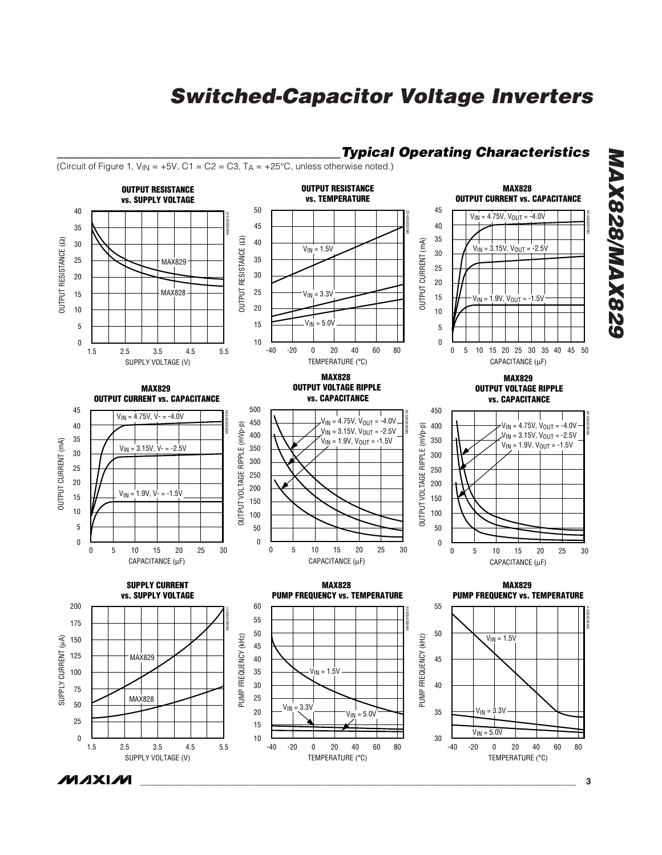*\_\_\_\_\_\_\_\_\_\_\_\_\_\_\_\_\_\_\_\_\_\_\_\_\_\_\_\_\_\_\_\_\_\_\_\_\_\_\_\_\_\_Typical Operating Characteristics*



# *MAX828/MAX829* **MAX828/MAX829**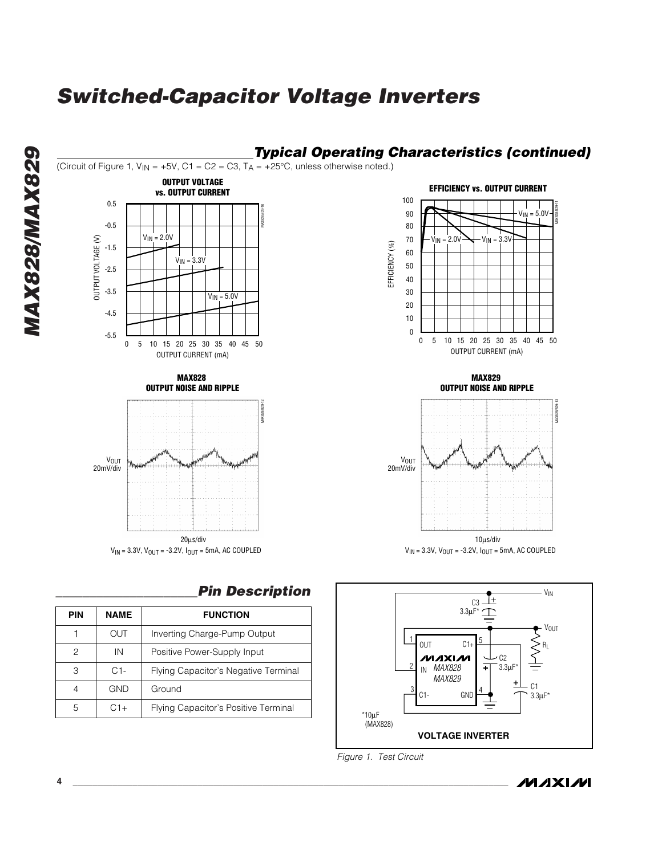

## *\_\_\_\_\_\_\_\_\_\_\_\_\_\_\_\_\_\_\_\_\_Pin Description*

| <b>PIN</b> | <b>NAME</b> | <b>FUNCTION</b>                      |  |  |
|------------|-------------|--------------------------------------|--|--|
|            | OUT         | Inverting Charge-Pump Output         |  |  |
| 2          | IN          | Positive Power-Supply Input          |  |  |
| 3          | $C1-$       | Flying Capacitor's Negative Terminal |  |  |
| 4          | <b>GND</b>  | Ground                               |  |  |
| 5          | $C1+$       | Flying Capacitor's Positive Terminal |  |  |







*MAX828/MAX829* **MAX828/MAX829**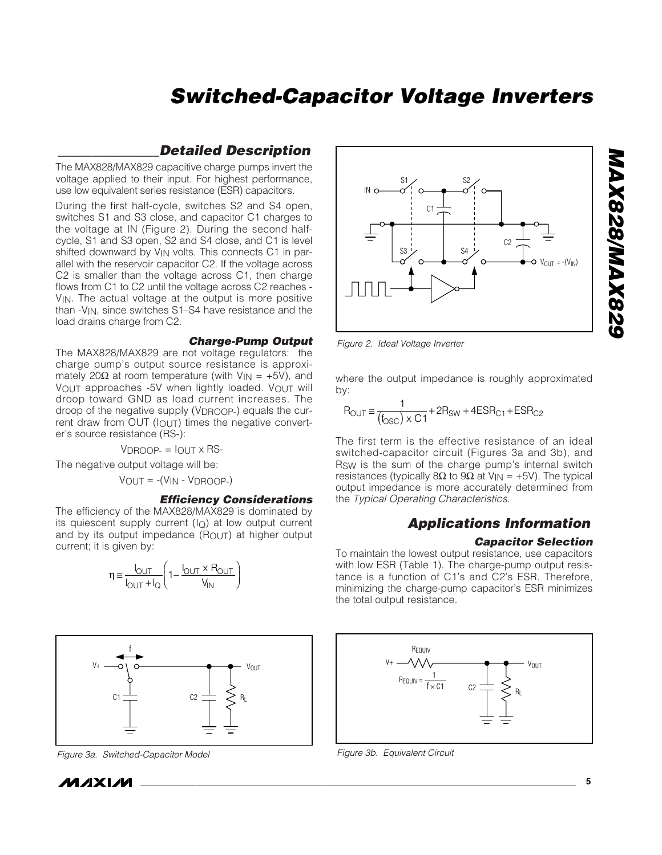## *\_\_\_\_\_\_\_\_\_\_\_\_\_\_\_Detailed Description*

The MAX828/MAX829 capacitive charge pumps invert the voltage applied to their input. For highest performance, use low equivalent series resistance (ESR) capacitors.

During the first half-cycle, switches S2 and S4 open, switches S1 and S3 close, and capacitor C1 charges to the voltage at IN (Figure 2). During the second halfcycle, S1 and S3 open, S2 and S4 close, and C1 is level shifted downward by  $V_{IN}$  volts. This connects C1 in parallel with the reservoir capacitor C2. If the voltage across C2 is smaller than the voltage across C1, then charge flows from C1 to C2 until the voltage across C2 reaches - V<sub>IN</sub>. The actual voltage at the output is more positive than -VIN, since switches S1–S4 have resistance and the load drains charge from C2.

## *Charge-Pump Output*

The MAX828/MAX829 are not voltage regulators: the charge pump's output source resistance is approximately 20 $\Omega$  at room temperature (with V<sub>IN</sub> = +5V), and VOUT approaches -5V when lightly loaded. VOUT will droop toward GND as load current increases. The droop of the negative supply (VDROOP-) equals the current draw from OUT (IOUT) times the negative converter's source resistance (RS-):

 $VDDROOP = IOUT \times RS-$ 

The negative output voltage will be:

VOUT = -(VIN - VDROOP-)

#### *Efficiency Considerations*

The efficiency of the MAX828/MAX829 is dominated by its quiescent supply current  $(I<sub>Q</sub>)$  at low output current and by its output impedance (ROUT) at higher output current; it is given by:

$$
\eta \cong \frac{I_{\text{OUT}}}{I_{\text{OUT}} + I_{\text{Q}}} \left( 1 - \frac{I_{\text{OUT}} \times R_{\text{OUT}}}{V_{\text{IN}}} \right)
$$



*Figure 3a. Switched-Capacitor Model*





*Figure 2. Ideal Voltage Inverter*

where the output impedance is roughly approximated by:

$$
R_{\text{OUT}} \approx \frac{1}{(f_{\text{OSC}}) \times \text{C1}} + 2R_{\text{SW}} + 4\text{ESR}_{\text{C1}} + \text{ESR}_{\text{C2}}
$$

The first term is the effective resistance of an ideal switched-capacitor circuit (Figures 3a and 3b), and RSW is the sum of the charge pump's internal switch resistances (typically 8 $\Omega$  to 9 $\Omega$  at V<sub>IN</sub> = +5V). The typical output impedance is more accurately determined from the *Typical Operating Characteristics*.

## *Applications Information*

#### *Capacitor Selection*

To maintain the lowest output resistance, use capacitors with low ESR (Table 1). The charge-pump output resistance is a function of C1's and C2's ESR. Therefore, minimizing the charge-pump capacitor's ESR minimizes the total output resistance.



*Figure 3b. Equivalent Circuit*

*MAX828/MAX829*

**AAX828/MAX829**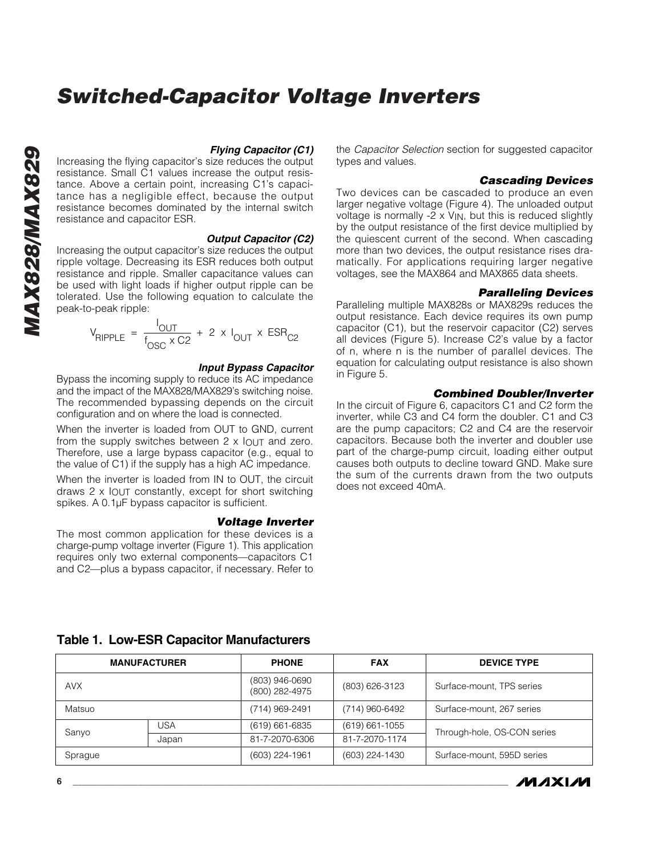## *Flying Capacitor (C1)*

Increasing the flying capacitor's size reduces the output resistance. Small C1 values increase the output resistance. Above a certain point, increasing C1's capacitance has a negligible effect, because the output resistance becomes dominated by the internal switch resistance and capacitor ESR.

#### *Output Capacitor (C2)*

Increasing the output capacitor's size reduces the output ripple voltage. Decreasing its ESR reduces both output resistance and ripple. Smaller capacitance values can be used with light loads if higher output ripple can be tolerated. Use the following equation to calculate the peak-to-peak ripple:

$$
V_{\text{RIPPLE}} = \frac{I_{\text{OUT}}}{f_{\text{OSC}} \times C2} + 2 \times I_{\text{OUT}} \times \text{ESR}_{C2}
$$

#### *Input Bypass Capacitor*

Bypass the incoming supply to reduce its AC impedance and the impact of the MAX828/MAX829's switching noise. The recommended bypassing depends on the circuit configuration and on where the load is connected.

When the inverter is loaded from OUT to GND, current from the supply switches between  $2 \times 10^{11}$  and zero. Therefore, use a large bypass capacitor (e.g., equal to the value of C1) if the supply has a high AC impedance.

When the inverter is loaded from IN to OUT, the circuit draws 2 x IOUT constantly, except for short switching spikes. A 0.1µF bypass capacitor is sufficient.

#### *Voltage Inverter*

The most common application for these devices is a charge-pump voltage inverter (Figure 1). This application requires only two external components—capacitors C1 and C2—plus a bypass capacitor, if necessary. Refer to the *Capacitor Selection* section for suggested capacitor types and values.

#### *Cascading Devices*

Two devices can be cascaded to produce an even larger negative voltage (Figure 4). The unloaded output voltage is normally  $-2 \times V_{IN}$ , but this is reduced slightly by the output resistance of the first device multiplied by the quiescent current of the second. When cascading more than two devices, the output resistance rises dramatically. For applications requiring larger negative voltages, see the MAX864 and MAX865 data sheets.

#### *Paralleling Devices*

Paralleling multiple MAX828s or MAX829s reduces the output resistance. Each device requires its own pump capacitor (C1), but the reservoir capacitor (C2) serves all devices (Figure 5). Increase C2's value by a factor of n, where n is the number of parallel devices. The equation for calculating output resistance is also shown in Figure 5.

## *Combined Doubler/Inverter*

In the circuit of Figure 6, capacitors C1 and C2 form the inverter, while C3 and C4 form the doubler. C1 and C3 are the pump capacitors; C2 and C4 are the reservoir capacitors. Because both the inverter and doubler use part of the charge-pump circuit, loading either output causes both outputs to decline toward GND. Make sure the sum of the currents drawn from the two outputs does not exceed 40mA.

| Table 1. Low-ESR Capacitor Manufacturers |  |
|------------------------------------------|--|
|------------------------------------------|--|

| <b>MANUFACTURER</b> |       | <b>PHONE</b>                     | <b>FAX</b>         | <b>DEVICE TYPE</b>          |  |
|---------------------|-------|----------------------------------|--------------------|-----------------------------|--|
| <b>AVX</b>          |       | (803) 946-0690<br>(800) 282-4975 | (803) 626-3123     | Surface-mount, TPS series   |  |
| Matsuo              |       | (714) 969-2491                   | (714) 960-6492     | Surface-mount, 267 series   |  |
| USA                 |       | $(619) 661 - 6835$               | $(619) 661 - 1055$ | Through-hole, OS-CON series |  |
| Sanyo               | Japan | 81-7-2070-6306                   | 81-7-2070-1174     |                             |  |
| Sprague             |       | (603) 224-1961                   | (603) 224-1430     | Surface-mount, 595D series  |  |

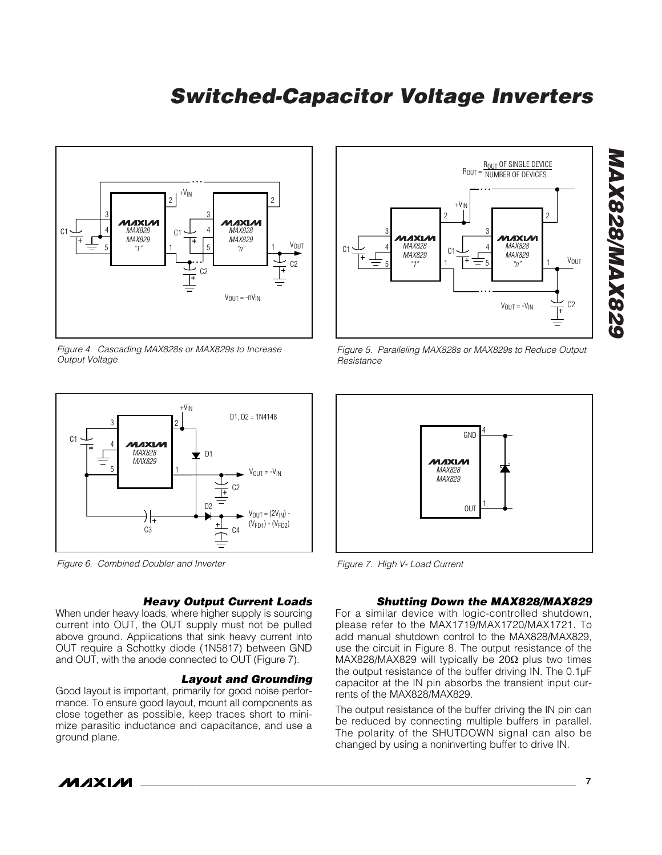

*Figure 4. Cascading MAX828s or MAX829s to Increase Output Voltage*



*Figure 6. Combined Doubler and Inverter*

#### *Heavy Output Current Loads*

When under heavy loads, where higher supply is sourcing current into OUT, the OUT supply must not be pulled above ground. Applications that sink heavy current into OUT require a Schottky diode (1N5817) between GND and OUT, with the anode connected to OUT (Figure 7).

#### *Layout and Grounding*

Good layout is important, primarily for good noise performance. To ensure good layout, mount all components as close together as possible, keep traces short to minimize parasitic inductance and capacitance, and use a ground plane.



*Figure 5. Paralleling MAX828s or MAX829s to Reduce Output Resistance*



*Figure 7. High V- Load Current*

## *Shutting Down the MAX828/MAX829*

For a similar device with logic-controlled shutdown, please refer to the MAX1719/MAX1720/MAX1721. To add manual shutdown control to the MAX828/MAX829, use the circuit in Figure 8. The output resistance of the MAX828/MAX829 will typically be  $20\Omega$  plus two times the output resistance of the buffer driving IN. The 0.1µF capacitor at the IN pin absorbs the transient input currents of the MAX828/MAX829.

The output resistance of the buffer driving the IN pin can be reduced by connecting multiple buffers in parallel. The polarity of the SHUTDOWN signal can also be changed by using a noninverting buffer to drive IN.



**\_\_\_\_\_\_\_\_\_\_\_\_\_\_\_\_\_\_\_\_\_\_\_\_\_\_\_\_\_\_\_\_\_\_\_\_\_\_\_\_\_\_\_\_\_\_\_\_\_\_\_\_\_\_\_\_\_\_\_\_\_\_\_\_\_\_\_\_\_\_\_\_\_\_\_\_\_\_\_\_\_\_\_\_\_\_\_ 7**

*MAX828/MAX829*

**228XAM/828XAW**